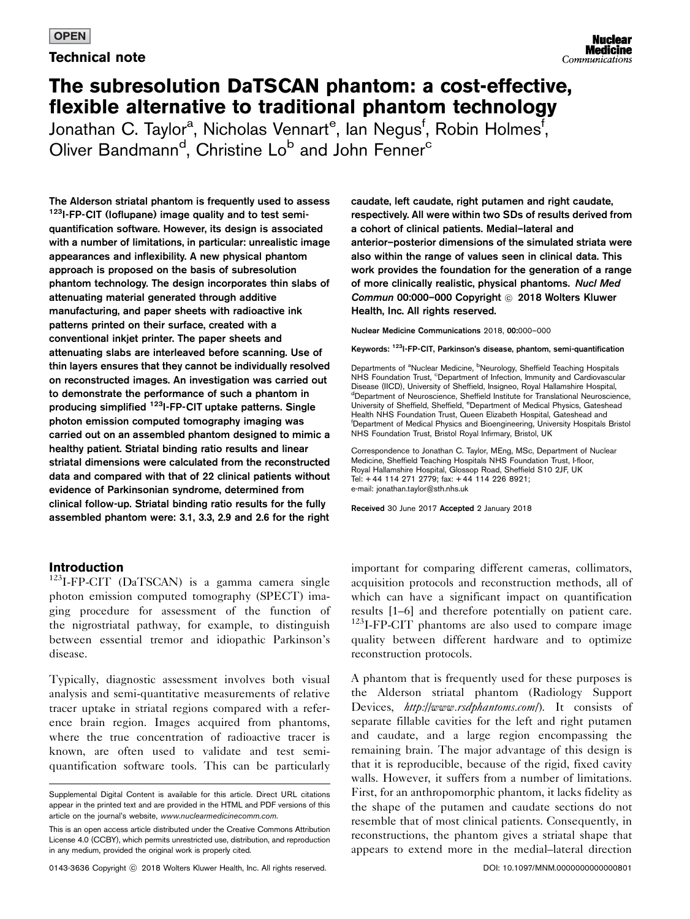# **OPEN**

Technical note

# The subresolution DaTSCAN phantom: a cost-effective, flexible alternative to traditional phantom technology

Jonathan C. Taylor<sup>a</sup>, Nicholas Vennart<sup>e</sup>, lan Negus<sup>f</sup>, Robin Holmes<sup>f</sup>, Oliver Bandmann<sup>d</sup>, Christine Lo<sup>b</sup> and John Fenner<sup>c</sup>

The Alderson striatal phantom is frequently used to assess 123<sub>1</sub>-FP-CIT (loflupane) image quality and to test semiquantification software. However, its design is associated with a number of limitations, in particular: unrealistic image appearances and inflexibility. A new physical phantom approach is proposed on the basis of subresolution phantom technology. The design incorporates thin slabs of attenuating material generated through additive manufacturing, and paper sheets with radioactive ink patterns printed on their surface, created with a conventional inkjet printer. The paper sheets and attenuating slabs are interleaved before scanning. Use of thin layers ensures that they cannot be individually resolved on reconstructed images. An investigation was carried out to demonstrate the performance of such a phantom in producing simplified 123I-FP-CIT uptake patterns. Single photon emission computed tomography imaging was carried out on an assembled phantom designed to mimic a healthy patient. Striatal binding ratio results and linear striatal dimensions were calculated from the reconstructed data and compared with that of 22 clinical patients without evidence of Parkinsonian syndrome, determined from clinical follow-up. Striatal binding ratio results for the fully assembled phantom were: 3.1, 3.3, 2.9 and 2.6 for the right

# Introduction

<sup>123</sup>I-FP-CIT (DaTSCAN) is a gamma camera single photon emission computed tomography (SPECT) imaging procedure for assessment of the function of the nigrostriatal pathway, for example, to distinguish between essential tremor and idiopathic Parkinson's disease.

Typically, diagnostic assessment involves both visual analysis and semi-quantitative measurements of relative tracer uptake in striatal regions compared with a reference brain region. Images acquired from phantoms, where the true concentration of radioactive tracer is known, are often used to validate and test semiquantification software tools. This can be particularly

0143-3636 Copyright c 2018 Wolters Kluwer Health, Inc. All rights reserved. DOI: 10.1097/MNM.0000000000000801

caudate, left caudate, right putamen and right caudate, respectively. All were within two SDs of results derived from a cohort of clinical patients. Medial–lateral and anterior–posterior dimensions of the simulated striata were also within the range of values seen in clinical data. This work provides the foundation for the generation of a range of more clinically realistic, physical phantoms. Nucl Med Commun 00:000-000 Copyright @ 2018 Wolters Kluwer Health, Inc. All rights reserved.

Nuclear Medicine Communications 2018, 00:000–000

Keywords: 123I-FP-CIT, Parkinson's disease, phantom, semi-quantification

Departments of <sup>a</sup>Nuclear Medicine, <sup>b</sup>Neurology, Sheffield Teaching Hospitals NHS Foundation Trust, <sup>c</sup>Department of Infection, Immunity and Cardiovascular Disease (IICD), University of Sheffield, Insigneo, Royal Hallamshire Hospital, dDepartment of Neuroscience, Sheffield Institute for Translational Neuroscience, University of Sheffield, Sheffield, <sup>e</sup>Department of Medical Physics, Gateshead Health NHS Foundation Trust, Queen Elizabeth Hospital, Gateshead and f Department of Medical Physics and Bioengineering, University Hospitals Bristol NHS Foundation Trust, Bristol Royal Infirmary, Bristol, UK

Correspondence to Jonathan C. Taylor, MEng, MSc, Department of Nuclear Medicine, Sheffield Teaching Hospitals NHS Foundation Trust, I-floor, Royal Hallamshire Hospital, Glossop Road, Sheffield S10 2JF, UK Tel: + 44 114 271 2779; fax: + 44 114 226 8921; e-mail: [jonathan.taylor@sth.nhs.uk](mailto:jonathan.taylor@sth.nhs.uk)

Received 30 June 2017 Accepted 2 January 2018

important for comparing different cameras, collimators, acquisition protocols and reconstruction methods, all of which can have a significant impact on quantification results [\[1](#page-6-0)–6] and therefore potentially on patient care.  $123$ I-FP-CIT phantoms are also used to compare image quality between different hardware and to optimize reconstruction protocols.

A phantom that is frequently used for these purposes is the Alderson striatal phantom (Radiology Support Devices, <http://www.rsdphantoms.com/>). It consists of separate fillable cavities for the left and right putamen and caudate, and a large region encompassing the remaining brain. The major advantage of this design is that it is reproducible, because of the rigid, fixed cavity walls. However, it suffers from a number of limitations. First, for an anthropomorphic phantom, it lacks fidelity as the shape of the putamen and caudate sections do not resemble that of most clinical patients. Consequently, in reconstructions, the phantom gives a striatal shape that appears to extend more in the medial–lateral direction

Supplemental Digital Content is available for this article. Direct URL citations appear in the printed text and are provided in the HTML and PDF versions of this article on the journal's website, [www.nuclearmedicinecomm.com](http://www.nuclearmedicinecomm.com).

This is an open access article distributed under the [Creative Commons Attribution](http://creativecommons.org/licenses/by/4.0/) [License 4.0](http://creativecommons.org/licenses/by/4.0/) (CCBY), which permits unrestricted use, distribution, and reproduction in any medium, provided the original work is properly cited.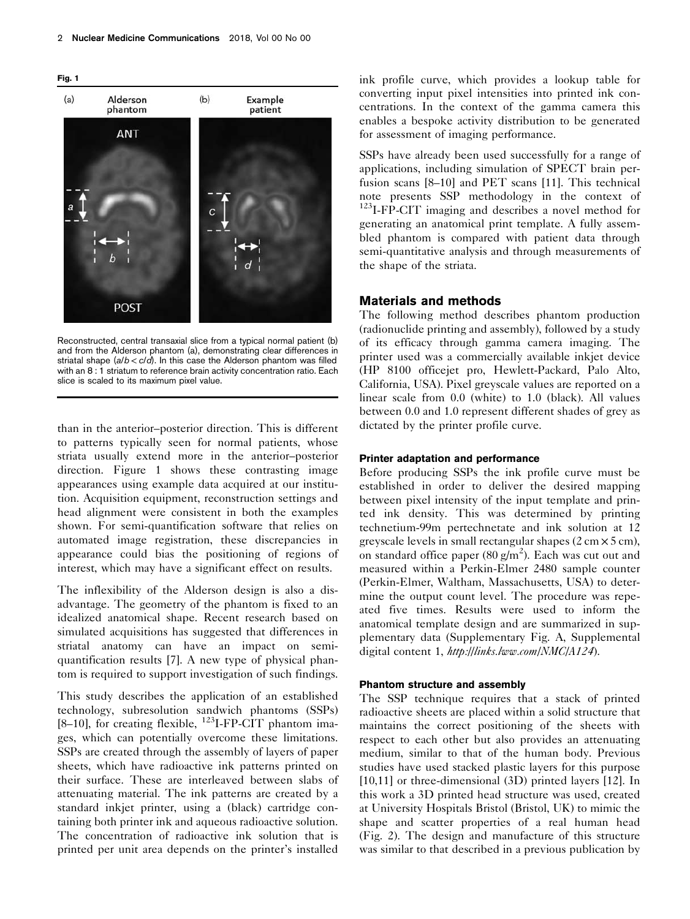Fig. 1



Reconstructed, central transaxial slice from a typical normal patient (b) and from the Alderson phantom (a), demonstrating clear differences in striatal shape  $(a/b < c/d)$ . In this case the Alderson phantom was filled with an 8 : 1 striatum to reference brain activity concentration ratio. Each slice is scaled to its maximum pixel value.

than in the anterior–posterior direction. This is different to patterns typically seen for normal patients, whose striata usually extend more in the anterior–posterior direction. Figure 1 shows these contrasting image appearances using example data acquired at our institution. Acquisition equipment, reconstruction settings and head alignment were consistent in both the examples shown. For semi-quantification software that relies on automated image registration, these discrepancies in appearance could bias the positioning of regions of interest, which may have a significant effect on results.

The inflexibility of the Alderson design is also a disadvantage. The geometry of the phantom is fixed to an idealized anatomical shape. Recent research based on simulated acquisitions has suggested that differences in striatal anatomy can have an impact on semiquantification results [\[7\]](#page-6-0). A new type of physical phantom is required to support investigation of such findings.

This study describes the application of an established technology, subresolution sandwich phantoms (SSPs) [8–[10\]](#page-6-0), for creating flexible,  $^{123}$ I-FP-CIT phantom images, which can potentially overcome these limitations. SSPs are created through the assembly of layers of paper sheets, which have radioactive ink patterns printed on their surface. These are interleaved between slabs of attenuating material. The ink patterns are created by a standard inkjet printer, using a (black) cartridge containing both printer ink and aqueous radioactive solution. The concentration of radioactive ink solution that is printed per unit area depends on the printer's installed ink profile curve, which provides a lookup table for converting input pixel intensities into printed ink concentrations. In the context of the gamma camera this enables a bespoke activity distribution to be generated for assessment of imaging performance.

SSPs have already been used successfully for a range of applications, including simulation of SPECT brain perfusion scans [8–[10](#page-6-0)] and PET scans [\[11](#page-6-0)]. This technical note presents SSP methodology in the context of <sup>123</sup>I-FP-CIT imaging and describes a novel method for generating an anatomical print template. A fully assembled phantom is compared with patient data through semi-quantitative analysis and through measurements of the shape of the striata.

# Materials and methods

The following method describes phantom production (radionuclide printing and assembly), followed by a study of its efficacy through gamma camera imaging. The printer used was a commercially available inkjet device (HP 8100 officejet pro, Hewlett-Packard, Palo Alto, California, USA). Pixel greyscale values are reported on a linear scale from 0.0 (white) to 1.0 (black). All values between 0.0 and 1.0 represent different shades of grey as dictated by the printer profile curve.

#### Printer adaptation and performance

Before producing SSPs the ink profile curve must be established in order to deliver the desired mapping between pixel intensity of the input template and printed ink density. This was determined by printing technetium-99m pertechnetate and ink solution at 12 greyscale levels in small rectangular shapes  $(2 \text{ cm} \times 5 \text{ cm})$ , on standard office paper (80  $\text{g/m}^2$ ). Each was cut out and measured within a Perkin-Elmer 2480 sample counter (Perkin-Elmer, Waltham, Massachusetts, USA) to determine the output count level. The procedure was repeated five times. Results were used to inform the anatomical template design and are summarized in supplementary data (Supplementary Fig. A, Supplemental digital content 1, <http://links.lww.com/NMC/A124>).

#### Phantom structure and assembly

The SSP technique requires that a stack of printed radioactive sheets are placed within a solid structure that maintains the correct positioning of the sheets with respect to each other but also provides an attenuating medium, similar to that of the human body. Previous studies have used stacked plastic layers for this purpose [\[10,11](#page-6-0)] or three-dimensional (3D) printed layers [\[12\]](#page-6-0). In this work a 3D printed head structure was used, created at University Hospitals Bristol (Bristol, UK) to mimic the shape and scatter properties of a real human head [\(Fig. 2](#page-2-0)). The design and manufacture of this structure was similar to that described in a previous publication by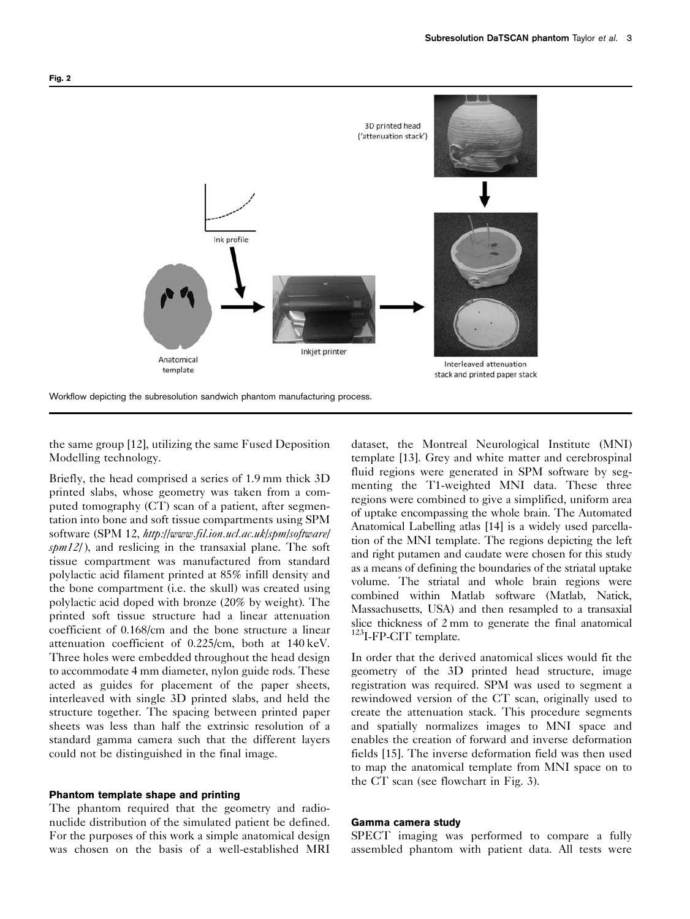<span id="page-2-0"></span>

the same group [\[12](#page-6-0)], utilizing the same Fused Deposition Modelling technology.

Briefly, the head comprised a series of 1.9 mm thick 3D printed slabs, whose geometry was taken from a computed tomography (CT) scan of a patient, after segmentation into bone and soft tissue compartments using SPM software (SPM 12, [http://www.fil.ion.ucl.ac.uk/spm/software/](http://www.fil.ion.ucl.ac.uk/spm/software/spm12/)  $spm12$ , and reslicing in the transaxial plane. The soft tissue compartment was manufactured from standard polylactic acid filament printed at 85% infill density and the bone compartment (i.e. the skull) was created using polylactic acid doped with bronze (20% by weight). The printed soft tissue structure had a linear attenuation coefficient of 0.168/cm and the bone structure a linear attenuation coefficient of 0.225/cm, both at 140 keV. Three holes were embedded throughout the head design to accommodate 4 mm diameter, nylon guide rods. These acted as guides for placement of the paper sheets, interleaved with single 3D printed slabs, and held the structure together. The spacing between printed paper sheets was less than half the extrinsic resolution of a standard gamma camera such that the different layers could not be distinguished in the final image.

# Phantom template shape and printing

The phantom required that the geometry and radionuclide distribution of the simulated patient be defined. For the purposes of this work a simple anatomical design was chosen on the basis of a well-established MRI dataset, the Montreal Neurological Institute (MNI) template [\[13\]](#page-6-0). Grey and white matter and cerebrospinal fluid regions were generated in SPM software by segmenting the T1-weighted MNI data. These three regions were combined to give a simplified, uniform area of uptake encompassing the whole brain. The Automated Anatomical Labelling atlas [\[14](#page-6-0)] is a widely used parcellation of the MNI template. The regions depicting the left and right putamen and caudate were chosen for this study as a means of defining the boundaries of the striatal uptake volume. The striatal and whole brain regions were combined within Matlab software (Matlab, Natick, Massachusetts, USA) and then resampled to a transaxial slice thickness of 2 mm to generate the final anatomical <sup>123</sup>I-FP-CIT template.

In order that the derived anatomical slices would fit the geometry of the 3D printed head structure, image registration was required. SPM was used to segment a rewindowed version of the CT scan, originally used to create the attenuation stack. This procedure segments and spatially normalizes images to MNI space and enables the creation of forward and inverse deformation fields [\[15](#page-6-0)]. The inverse deformation field was then used to map the anatomical template from MNI space on to the CT scan (see flowchart in [Fig. 3\)](#page-3-0).

### Gamma camera study

SPECT imaging was performed to compare a fully assembled phantom with patient data. All tests were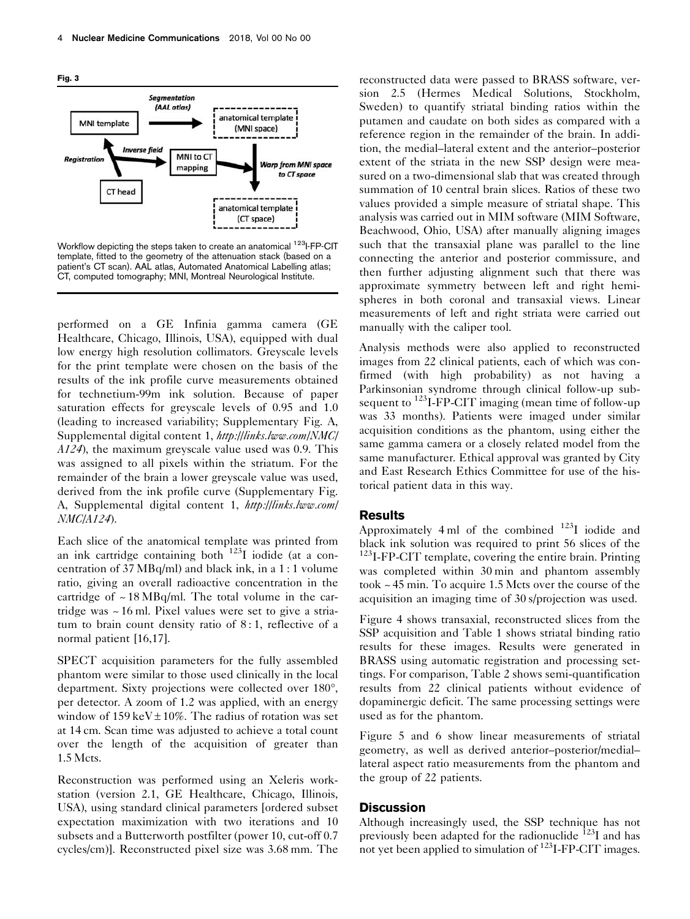<span id="page-3-0"></span>



Workflow depicting the steps taken to create an anatomical <sup>123</sup>I-FP-CIT template, fitted to the geometry of the attenuation stack (based on a patient's CT scan). AAL atlas, Automated Anatomical Labelling atlas; CT, computed tomography; MNI, Montreal Neurological Institute.

performed on a GE Infinia gamma camera (GE Healthcare, Chicago, Illinois, USA), equipped with dual low energy high resolution collimators. Greyscale levels for the print template were chosen on the basis of the results of the ink profile curve measurements obtained for technetium-99m ink solution. Because of paper saturation effects for greyscale levels of 0.95 and 1.0 (leading to increased variability; Supplementary Fig. A, Supplemental digital content 1, [http://links.lww.com/NMC/](http://links.lww.com/NMC/A124) [A124](http://links.lww.com/NMC/A124)), the maximum greyscale value used was 0.9. This was assigned to all pixels within the striatum. For the remainder of the brain a lower greyscale value was used, derived from the ink profile curve (Supplementary Fig. A, Supplemental digital content 1, [http://links.lww.com/](http://links.lww.com/NMC/A124) [NMC/A124](http://links.lww.com/NMC/A124)).

Each slice of the anatomical template was printed from an ink cartridge containing both  $123$ I iodide (at a concentration of 37 MBq/ml) and black ink, in a 1 : 1 volume ratio, giving an overall radioactive concentration in the cartridge of  $\sim$  18 MBq/ml. The total volume in the cartridge was ~ 16 ml. Pixel values were set to give a striatum to brain count density ratio of 8 : 1, reflective of a normal patient [\[16,17](#page-6-0)].

SPECT acquisition parameters for the fully assembled phantom were similar to those used clinically in the local department. Sixty projections were collected over 180°, per detector. A zoom of 1.2 was applied, with an energy window of 159 keV  $\pm$  10%. The radius of rotation was set at 14 cm. Scan time was adjusted to achieve a total count over the length of the acquisition of greater than 1.5 Mcts.

Reconstruction was performed using an Xeleris workstation (version 2.1, GE Healthcare, Chicago, Illinois, USA), using standard clinical parameters [ordered subset expectation maximization with two iterations and 10 subsets and a Butterworth postfilter (power 10, cut-off 0.7 cycles/cm)]. Reconstructed pixel size was 3.68 mm. The reconstructed data were passed to BRASS software, version 2.5 (Hermes Medical Solutions, Stockholm, Sweden) to quantify striatal binding ratios within the putamen and caudate on both sides as compared with a reference region in the remainder of the brain. In addition, the medial–lateral extent and the anterior–posterior extent of the striata in the new SSP design were measured on a two-dimensional slab that was created through summation of 10 central brain slices. Ratios of these two values provided a simple measure of striatal shape. This analysis was carried out in MIM software (MIM Software, Beachwood, Ohio, USA) after manually aligning images such that the transaxial plane was parallel to the line connecting the anterior and posterior commissure, and then further adjusting alignment such that there was approximate symmetry between left and right hemispheres in both coronal and transaxial views. Linear measurements of left and right striata were carried out manually with the caliper tool.

Analysis methods were also applied to reconstructed images from 22 clinical patients, each of which was confirmed (with high probability) as not having a Parkinsonian syndrome through clinical follow-up subsequent to <sup>123</sup>I-FP-CIT imaging (mean time of follow-up was 33 months). Patients were imaged under similar acquisition conditions as the phantom, using either the same gamma camera or a closely related model from the same manufacturer. Ethical approval was granted by City and East Research Ethics Committee for use of the historical patient data in this way.

#### Results

Approximately 4 ml of the combined  $123$ I iodide and black ink solution was required to print 56 slices of the  $123$ I-FP-CIT template, covering the entire brain. Printing was completed within 30 min and phantom assembly took ~ 45 min. To acquire 1.5 Mcts over the course of the acquisition an imaging time of 30 s/projection was used.

[Figure 4](#page-4-0) shows transaxial, reconstructed slices from the SSP acquisition and [Table 1](#page-4-0) shows striatal binding ratio results for these images. Results were generated in BRASS using automatic registration and processing settings. For comparison, [Table 2](#page-4-0) shows semi-quantification results from 22 clinical patients without evidence of dopaminergic deficit. The same processing settings were used as for the phantom.

Figure 5 and 6 show linear measurements of striatal geometry, as well as derived anterior–posterior/medial– lateral aspect ratio measurements from the phantom and the group of 22 patients.

#### **Discussion**

Although increasingly used, the SSP technique has not previously been adapted for the radionuclide  $^{123}$ I and has not yet been applied to simulation of <sup>123</sup>I-FP-CIT images.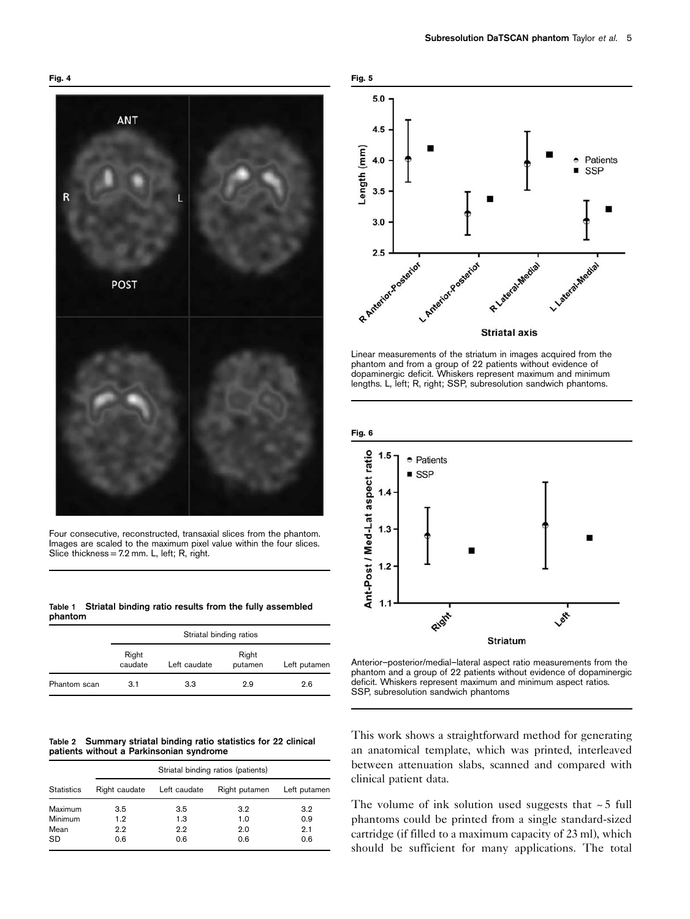<span id="page-4-0"></span>



Four consecutive, reconstructed, transaxial slices from the phantom. Images are scaled to the maximum pixel value within the four slices. Slice thickness=7.2 mm. L, left; R, right.

Table 1 Striatal binding ratio results from the fully assembled phantom

|              | Striatal binding ratios |              |                  |              |  |  |
|--------------|-------------------------|--------------|------------------|--------------|--|--|
|              | Right<br>caudate        | Left caudate | Right<br>putamen | Left putamen |  |  |
| Phantom scan | 3.1                     | 3.3          | 2.9              | 2.6          |  |  |

| Table 2 Summary striatal binding ratio statistics for 22 clinical |  |  |  |
|-------------------------------------------------------------------|--|--|--|
| patients without a Parkinsonian syndrome                          |  |  |  |

|                   | Striatal binding ratios (patients) |              |               |              |  |
|-------------------|------------------------------------|--------------|---------------|--------------|--|
| <b>Statistics</b> | Right caudate                      | Left caudate | Right putamen | Left putamen |  |
| Maximum           | 3.5                                | 3.5          | 3.2           | 3.2          |  |
| Minimum           | 1.2                                | 1.3          | 1.0           | 0.9          |  |
| Mean              | 2.2                                | 2.2          | 2.0           | 2.1          |  |
| <b>SD</b>         | 0.6                                | 0.6          | 0.6           | 0.6          |  |



Linear measurements of the striatum in images acquired from the phantom and from a group of 22 patients without evidence of dopaminergic deficit. Whiskers represent maximum and minimum lengths. L, left; R, right; SSP, subresolution sandwich phantoms.





Anterior–posterior/medial–lateral aspect ratio measurements from the phantom and a group of 22 patients without evidence of dopaminergic deficit. Whiskers represent maximum and minimum aspect ratios. SSP, subresolution sandwich phantoms

This work shows a straightforward method for generating an anatomical template, which was printed, interleaved between attenuation slabs, scanned and compared with clinical patient data.

The volume of ink solution used suggests that  $\sim$  5 full phantoms could be printed from a single standard-sized cartridge (if filled to a maximum capacity of 23 ml), which should be sufficient for many applications. The total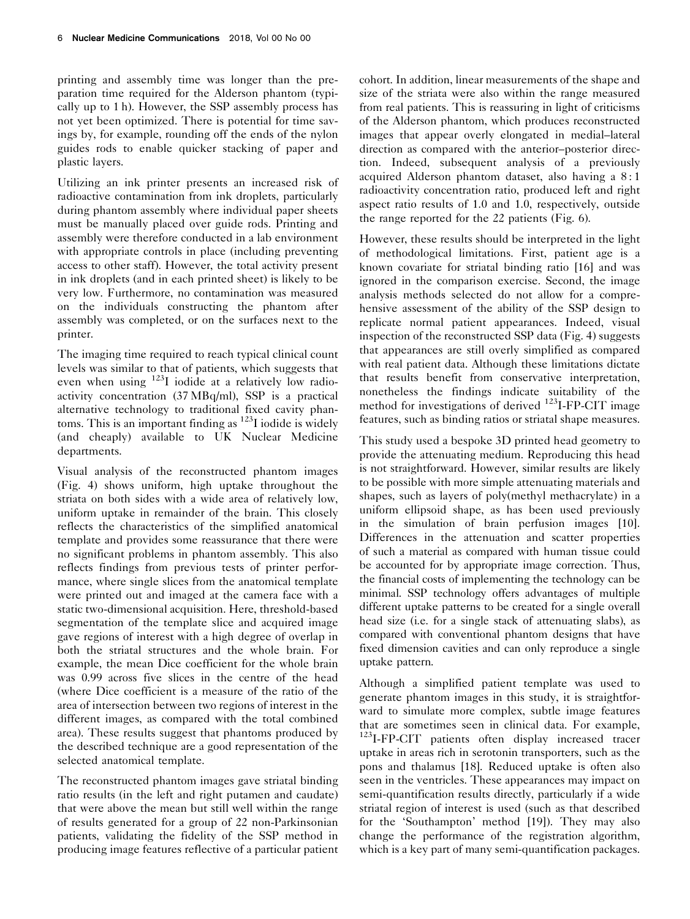printing and assembly time was longer than the preparation time required for the Alderson phantom (typically up to 1 h). However, the SSP assembly process has not yet been optimized. There is potential for time savings by, for example, rounding off the ends of the nylon guides rods to enable quicker stacking of paper and plastic layers.

Utilizing an ink printer presents an increased risk of radioactive contamination from ink droplets, particularly during phantom assembly where individual paper sheets must be manually placed over guide rods. Printing and assembly were therefore conducted in a lab environment with appropriate controls in place (including preventing access to other staff). However, the total activity present in ink droplets (and in each printed sheet) is likely to be very low. Furthermore, no contamination was measured on the individuals constructing the phantom after assembly was completed, or on the surfaces next to the printer.

The imaging time required to reach typical clinical count levels was similar to that of patients, which suggests that even when using <sup>123</sup>I iodide at a relatively low radioactivity concentration (37 MBq/ml), SSP is a practical alternative technology to traditional fixed cavity phantoms. This is an important finding as  $123$ I iodide is widely (and cheaply) available to UK Nuclear Medicine departments.

Visual analysis of the reconstructed phantom images [\(Fig. 4\)](#page-4-0) shows uniform, high uptake throughout the striata on both sides with a wide area of relatively low, uniform uptake in remainder of the brain. This closely reflects the characteristics of the simplified anatomical template and provides some reassurance that there were no significant problems in phantom assembly. This also reflects findings from previous tests of printer performance, where single slices from the anatomical template were printed out and imaged at the camera face with a static two-dimensional acquisition. Here, threshold-based segmentation of the template slice and acquired image gave regions of interest with a high degree of overlap in both the striatal structures and the whole brain. For example, the mean Dice coefficient for the whole brain was 0.99 across five slices in the centre of the head (where Dice coefficient is a measure of the ratio of the area of intersection between two regions of interest in the different images, as compared with the total combined area). These results suggest that phantoms produced by the described technique are a good representation of the selected anatomical template.

The reconstructed phantom images gave striatal binding ratio results (in the left and right putamen and caudate) that were above the mean but still well within the range of results generated for a group of 22 non-Parkinsonian patients, validating the fidelity of the SSP method in producing image features reflective of a particular patient cohort. In addition, linear measurements of the shape and size of the striata were also within the range measured from real patients. This is reassuring in light of criticisms of the Alderson phantom, which produces reconstructed images that appear overly elongated in medial–lateral direction as compared with the anterior–posterior direction. Indeed, subsequent analysis of a previously acquired Alderson phantom dataset, also having a 8 : 1 radioactivity concentration ratio, produced left and right aspect ratio results of 1.0 and 1.0, respectively, outside the range reported for the 22 patients [\(Fig. 6](#page-4-0)).

However, these results should be interpreted in the light of methodological limitations. First, patient age is a known covariate for striatal binding ratio [\[16\]](#page-6-0) and was ignored in the comparison exercise. Second, the image analysis methods selected do not allow for a comprehensive assessment of the ability of the SSP design to replicate normal patient appearances. Indeed, visual inspection of the reconstructed SSP data ([Fig. 4](#page-4-0)) suggests that appearances are still overly simplified as compared with real patient data. Although these limitations dictate that results benefit from conservative interpretation, nonetheless the findings indicate suitability of the method for investigations of derived <sup>123</sup>I-FP-CIT image features, such as binding ratios or striatal shape measures.

This study used a bespoke 3D printed head geometry to provide the attenuating medium. Reproducing this head is not straightforward. However, similar results are likely to be possible with more simple attenuating materials and shapes, such as layers of poly(methyl methacrylate) in a uniform ellipsoid shape, as has been used previously in the simulation of brain perfusion images [\[10](#page-6-0)]. Differences in the attenuation and scatter properties of such a material as compared with human tissue could be accounted for by appropriate image correction. Thus, the financial costs of implementing the technology can be minimal. SSP technology offers advantages of multiple different uptake patterns to be created for a single overall head size (i.e. for a single stack of attenuating slabs), as compared with conventional phantom designs that have fixed dimension cavities and can only reproduce a single uptake pattern.

Although a simplified patient template was used to generate phantom images in this study, it is straightforward to simulate more complex, subtle image features that are sometimes seen in clinical data. For example,  $123$ I-FP-CIT patients often display increased tracer uptake in areas rich in serotonin transporters, such as the pons and thalamus [\[18](#page-6-0)]. Reduced uptake is often also seen in the ventricles. These appearances may impact on semi-quantification results directly, particularly if a wide striatal region of interest is used (such as that described for the 'Southampton' method [\[19\]](#page-6-0)). They may also change the performance of the registration algorithm, which is a key part of many semi-quantification packages.